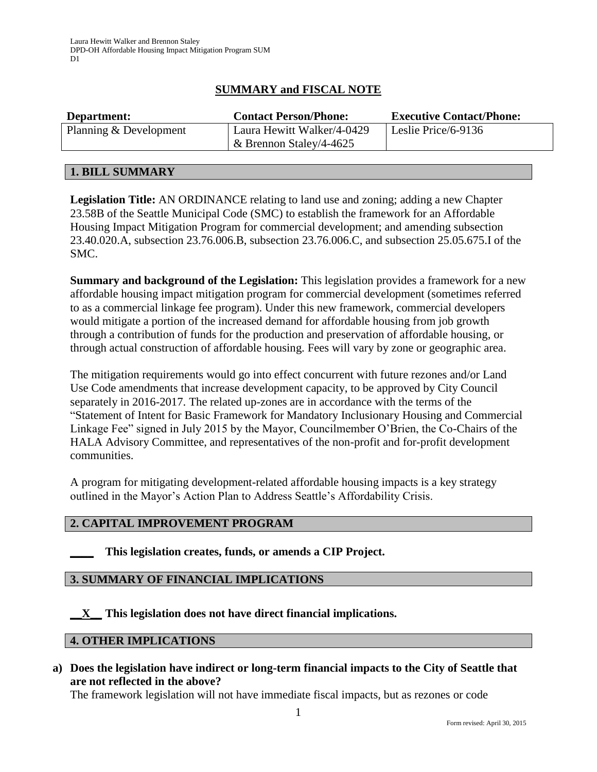# **SUMMARY and FISCAL NOTE**

| Department:            | <b>Contact Person/Phone:</b>                             | <b>Executive Contact/Phone:</b> |
|------------------------|----------------------------------------------------------|---------------------------------|
| Planning & Development | Laura Hewitt Walker/4-0429<br>$\&$ Brennon Staley/4-4625 | Leslie Price/6-9136             |

### **1. BILL SUMMARY**

**Legislation Title:** AN ORDINANCE relating to land use and zoning; adding a new Chapter 23.58B of the Seattle Municipal Code (SMC) to establish the framework for an Affordable Housing Impact Mitigation Program for commercial development; and amending subsection 23.40.020.A, subsection 23.76.006.B, subsection 23.76.006.C, and subsection 25.05.675.I of the SMC.

**Summary and background of the Legislation:** This legislation provides a framework for a new affordable housing impact mitigation program for commercial development (sometimes referred to as a commercial linkage fee program). Under this new framework, commercial developers would mitigate a portion of the increased demand for affordable housing from job growth through a contribution of funds for the production and preservation of affordable housing, or through actual construction of affordable housing. Fees will vary by zone or geographic area.

The mitigation requirements would go into effect concurrent with future rezones and/or Land Use Code amendments that increase development capacity, to be approved by City Council separately in 2016-2017. The related up-zones are in accordance with the terms of the "Statement of Intent for Basic Framework for Mandatory Inclusionary Housing and Commercial Linkage Fee" signed in July 2015 by the Mayor, Councilmember O'Brien, the Co-Chairs of the HALA Advisory Committee, and representatives of the non-profit and for-profit development communities.

A program for mitigating development-related affordable housing impacts is a key strategy outlined in the Mayor's Action Plan to Address Seattle's Affordability Crisis.

### **2. CAPITAL IMPROVEMENT PROGRAM**

**\_\_\_\_ This legislation creates, funds, or amends a CIP Project.** 

#### **3. SUMMARY OF FINANCIAL IMPLICATIONS**

**\_\_X\_\_ This legislation does not have direct financial implications.**

#### **4. OTHER IMPLICATIONS**

**a) Does the legislation have indirect or long-term financial impacts to the City of Seattle that are not reflected in the above?**

The framework legislation will not have immediate fiscal impacts, but as rezones or code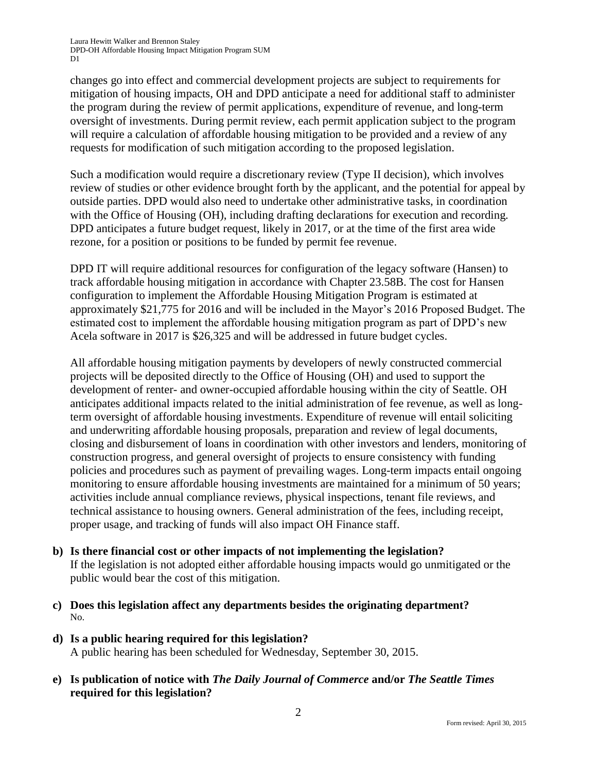changes go into effect and commercial development projects are subject to requirements for mitigation of housing impacts, OH and DPD anticipate a need for additional staff to administer the program during the review of permit applications, expenditure of revenue, and long-term oversight of investments. During permit review, each permit application subject to the program will require a calculation of affordable housing mitigation to be provided and a review of any requests for modification of such mitigation according to the proposed legislation.

Such a modification would require a discretionary review (Type II decision), which involves review of studies or other evidence brought forth by the applicant, and the potential for appeal by outside parties. DPD would also need to undertake other administrative tasks, in coordination with the Office of Housing (OH), including drafting declarations for execution and recording*.*  DPD anticipates a future budget request, likely in 2017, or at the time of the first area wide rezone, for a position or positions to be funded by permit fee revenue.

DPD IT will require additional resources for configuration of the legacy software (Hansen) to track affordable housing mitigation in accordance with Chapter 23.58B. The cost for Hansen configuration to implement the Affordable Housing Mitigation Program is estimated at approximately \$21,775 for 2016 and will be included in the Mayor's 2016 Proposed Budget. The estimated cost to implement the affordable housing mitigation program as part of DPD's new Acela software in 2017 is \$26,325 and will be addressed in future budget cycles.

All affordable housing mitigation payments by developers of newly constructed commercial projects will be deposited directly to the Office of Housing (OH) and used to support the development of renter- and owner-occupied affordable housing within the city of Seattle. OH anticipates additional impacts related to the initial administration of fee revenue, as well as longterm oversight of affordable housing investments. Expenditure of revenue will entail soliciting and underwriting affordable housing proposals, preparation and review of legal documents, closing and disbursement of loans in coordination with other investors and lenders, monitoring of construction progress, and general oversight of projects to ensure consistency with funding policies and procedures such as payment of prevailing wages. Long-term impacts entail ongoing monitoring to ensure affordable housing investments are maintained for a minimum of 50 years; activities include annual compliance reviews, physical inspections, tenant file reviews, and technical assistance to housing owners. General administration of the fees, including receipt, proper usage, and tracking of funds will also impact OH Finance staff.

- **b) Is there financial cost or other impacts of not implementing the legislation?** If the legislation is not adopted either affordable housing impacts would go unmitigated or the public would bear the cost of this mitigation.
- **c) Does this legislation affect any departments besides the originating department?**  No.
- **d) Is a public hearing required for this legislation?**  A public hearing has been scheduled for Wednesday, September 30, 2015.
- **e) Is publication of notice with** *The Daily Journal of Commerce* **and/or** *The Seattle Times* **required for this legislation?**